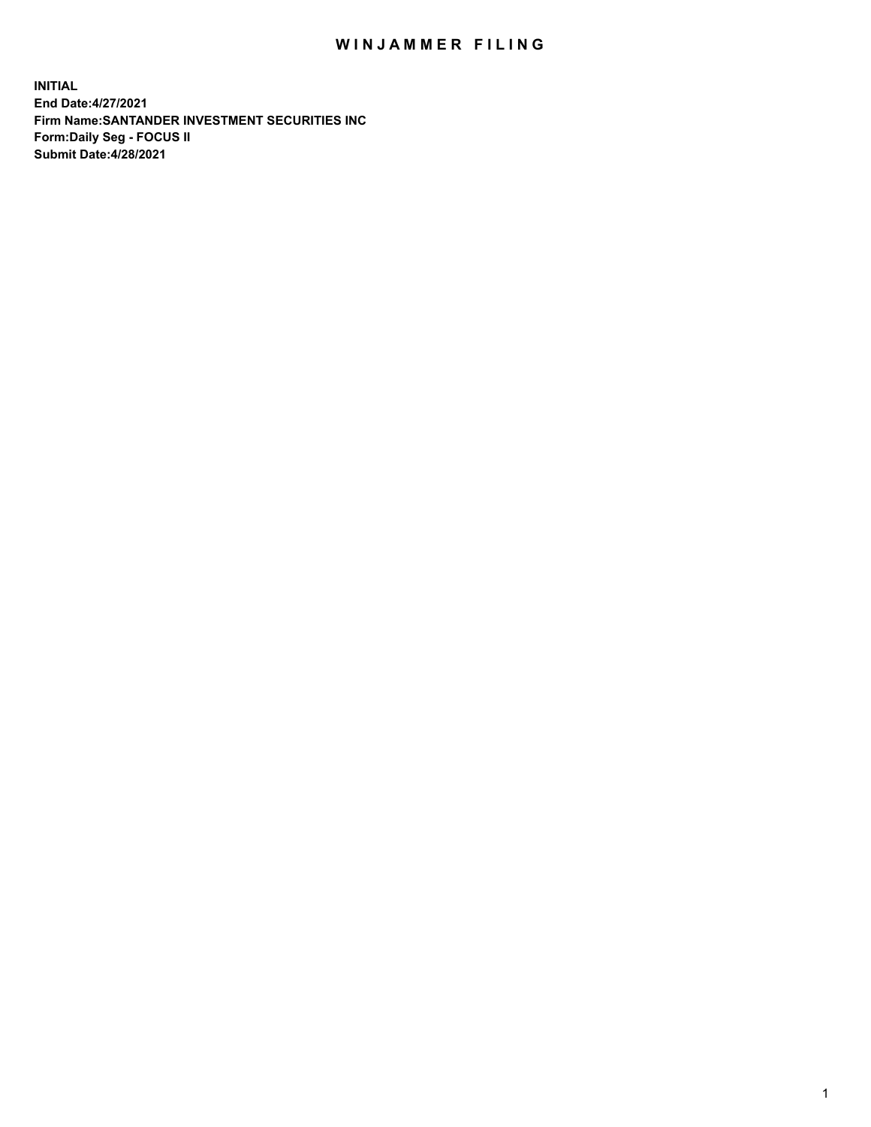## WIN JAMMER FILING

**INITIAL End Date:4/27/2021 Firm Name:SANTANDER INVESTMENT SECURITIES INC Form:Daily Seg - FOCUS II Submit Date:4/28/2021**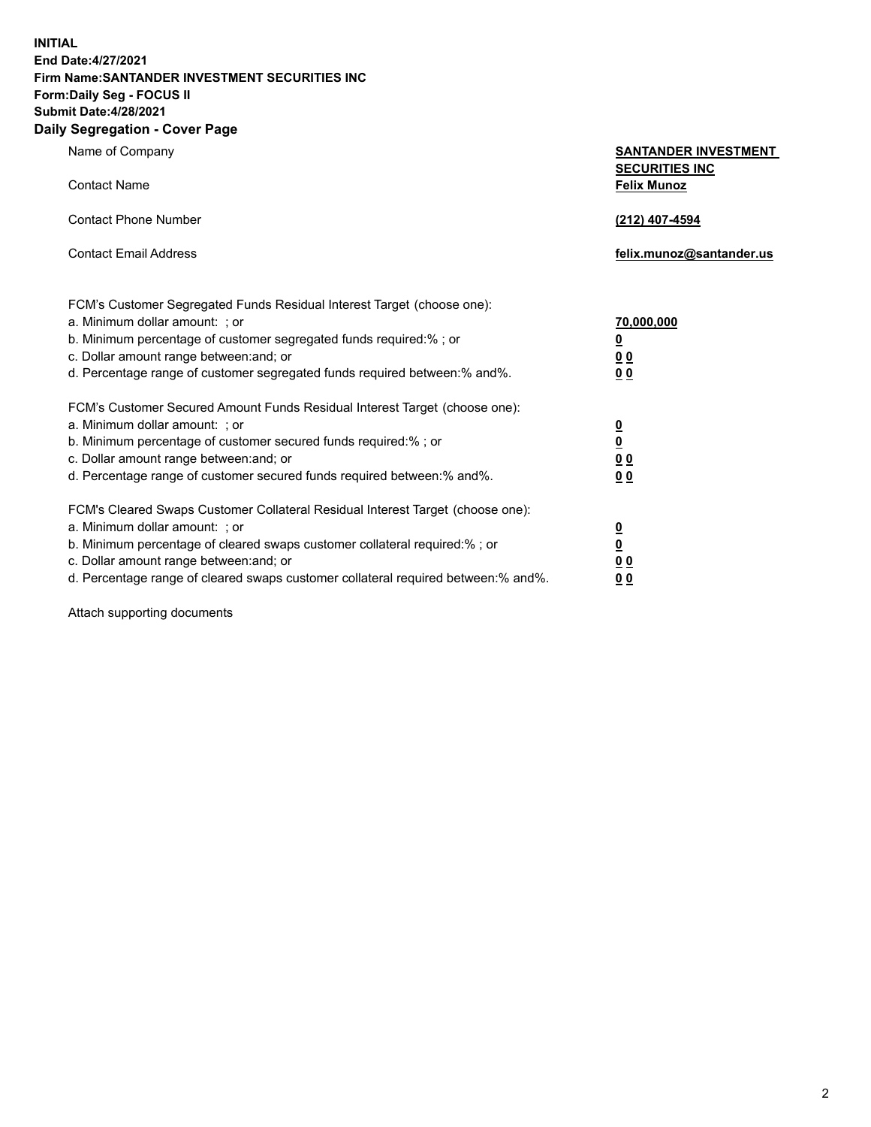**INITIAL End Date:4/27/2021 Firm Name:SANTANDER INVESTMENT SECURITIES INC Form:Daily Seg - FOCUS II Submit Date:4/28/2021 Daily Segregation - Cover Page**

| Name of Company                                                                   | <b>SANTANDER INVESTMENT</b><br><b>SECURITIES INC</b> |
|-----------------------------------------------------------------------------------|------------------------------------------------------|
| <b>Contact Name</b>                                                               | <b>Felix Munoz</b>                                   |
| <b>Contact Phone Number</b>                                                       | (212) 407-4594                                       |
| <b>Contact Email Address</b>                                                      | felix.munoz@santander.us                             |
| FCM's Customer Segregated Funds Residual Interest Target (choose one):            |                                                      |
| a. Minimum dollar amount: ; or                                                    | <u>70,000,000</u>                                    |
| b. Minimum percentage of customer segregated funds required:% ; or                | <u>0</u>                                             |
| c. Dollar amount range between: and; or                                           | 0 <sub>0</sub>                                       |
| d. Percentage range of customer segregated funds required between:% and%.         | 0 <sub>0</sub>                                       |
| FCM's Customer Secured Amount Funds Residual Interest Target (choose one):        |                                                      |
| a. Minimum dollar amount: ; or                                                    | $\frac{0}{0}$                                        |
| b. Minimum percentage of customer secured funds required:%; or                    |                                                      |
| c. Dollar amount range between: and; or                                           | 0 <sub>0</sub>                                       |
| d. Percentage range of customer secured funds required between:% and%.            | 0 <sub>0</sub>                                       |
| FCM's Cleared Swaps Customer Collateral Residual Interest Target (choose one):    |                                                      |
| a. Minimum dollar amount: ; or                                                    | $\overline{\mathbf{0}}$                              |
| b. Minimum percentage of cleared swaps customer collateral required:% ; or        | $\underline{\mathbf{0}}$                             |
| c. Dollar amount range between: and; or                                           | 00                                                   |
| d. Percentage range of cleared swaps customer collateral required between:% and%. | <u>00</u>                                            |

Attach supporting documents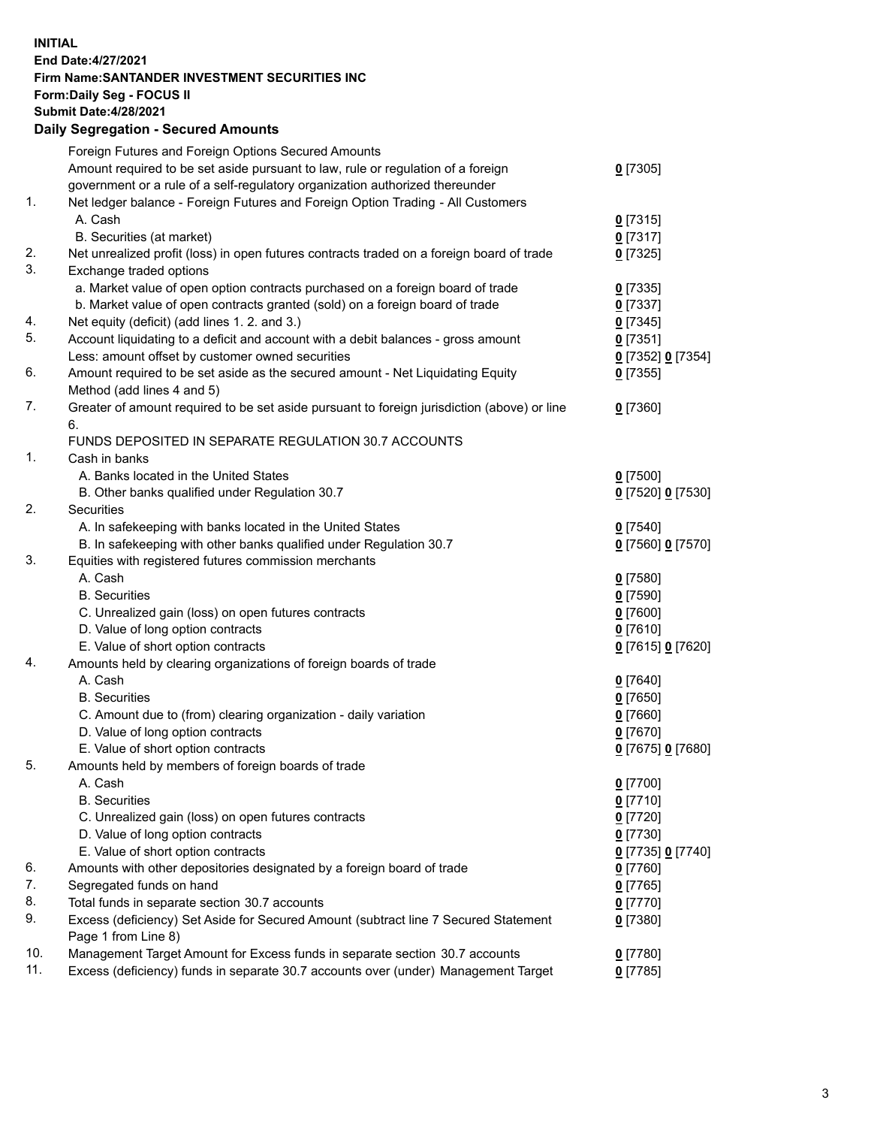## **INITIAL End Date:4/27/2021 Firm Name:SANTANDER INVESTMENT SECURITIES INC Form:Daily Seg - FOCUS II Submit Date:4/28/2021 Daily Segregation - Secured Amounts**

|               | Foreign Futures and Foreign Options Secured Amounts                                         |                   |
|---------------|---------------------------------------------------------------------------------------------|-------------------|
|               | Amount required to be set aside pursuant to law, rule or regulation of a foreign            | $0$ [7305]        |
|               | government or a rule of a self-regulatory organization authorized thereunder                |                   |
| $\mathbf 1$ . | Net ledger balance - Foreign Futures and Foreign Option Trading - All Customers             |                   |
|               | A. Cash                                                                                     | $0$ [7315]        |
|               | B. Securities (at market)                                                                   | $0$ [7317]        |
| 2.            | Net unrealized profit (loss) in open futures contracts traded on a foreign board of trade   | $0$ [7325]        |
| 3.            | Exchange traded options                                                                     |                   |
|               | a. Market value of open option contracts purchased on a foreign board of trade              | $0$ [7335]        |
|               | b. Market value of open contracts granted (sold) on a foreign board of trade                | $0$ [7337]        |
| 4.            | Net equity (deficit) (add lines 1. 2. and 3.)                                               | $0$ [7345]        |
| 5.            | Account liquidating to a deficit and account with a debit balances - gross amount           | $0$ [7351]        |
|               | Less: amount offset by customer owned securities                                            | 0 [7352] 0 [7354] |
| 6.            | Amount required to be set aside as the secured amount - Net Liquidating Equity              | $0$ [7355]        |
|               | Method (add lines 4 and 5)                                                                  |                   |
| 7.            | Greater of amount required to be set aside pursuant to foreign jurisdiction (above) or line | $0$ [7360]        |
|               | 6.                                                                                          |                   |
|               | FUNDS DEPOSITED IN SEPARATE REGULATION 30.7 ACCOUNTS                                        |                   |
| 1.            | Cash in banks                                                                               |                   |
|               | A. Banks located in the United States                                                       | $0$ [7500]        |
|               | B. Other banks qualified under Regulation 30.7                                              | 0 [7520] 0 [7530] |
| 2.            | Securities                                                                                  |                   |
|               | A. In safekeeping with banks located in the United States                                   | $0$ [7540]        |
|               | B. In safekeeping with other banks qualified under Regulation 30.7                          | 0 [7560] 0 [7570] |
| 3.            | Equities with registered futures commission merchants                                       |                   |
|               | A. Cash                                                                                     | $0$ [7580]        |
|               | <b>B.</b> Securities                                                                        | $0$ [7590]        |
|               | C. Unrealized gain (loss) on open futures contracts                                         | $0$ [7600]        |
|               | D. Value of long option contracts                                                           | $0$ [7610]        |
|               | E. Value of short option contracts                                                          | 0 [7615] 0 [7620] |
| 4.            | Amounts held by clearing organizations of foreign boards of trade                           |                   |
|               | A. Cash                                                                                     | $0$ [7640]        |
|               | <b>B.</b> Securities                                                                        | $0$ [7650]        |
|               | C. Amount due to (from) clearing organization - daily variation                             | $0$ [7660]        |
|               | D. Value of long option contracts                                                           | $0$ [7670]        |
|               | E. Value of short option contracts                                                          | 0 [7675] 0 [7680] |
| 5.            | Amounts held by members of foreign boards of trade                                          |                   |
|               | A. Cash                                                                                     | $0$ [7700]        |
|               | <b>B.</b> Securities                                                                        | $0$ [7710]        |
|               | C. Unrealized gain (loss) on open futures contracts                                         | $0$ [7720]        |
|               | D. Value of long option contracts                                                           | $0$ [7730]        |
|               | E. Value of short option contracts                                                          | 0 [7735] 0 [7740] |
| 6.            | Amounts with other depositories designated by a foreign board of trade                      | $0$ [7760]        |
| 7.            | Segregated funds on hand                                                                    | $0$ [7765]        |
| 8.            | Total funds in separate section 30.7 accounts                                               | $0$ [7770]        |
| 9.            | Excess (deficiency) Set Aside for Secured Amount (subtract line 7 Secured Statement         | $0$ [7380]        |
|               | Page 1 from Line 8)                                                                         |                   |
| 10.           | Management Target Amount for Excess funds in separate section 30.7 accounts                 | $0$ [7780]        |
| 11.           | Excess (deficiency) funds in separate 30.7 accounts over (under) Management Target          | $0$ [7785]        |
|               |                                                                                             |                   |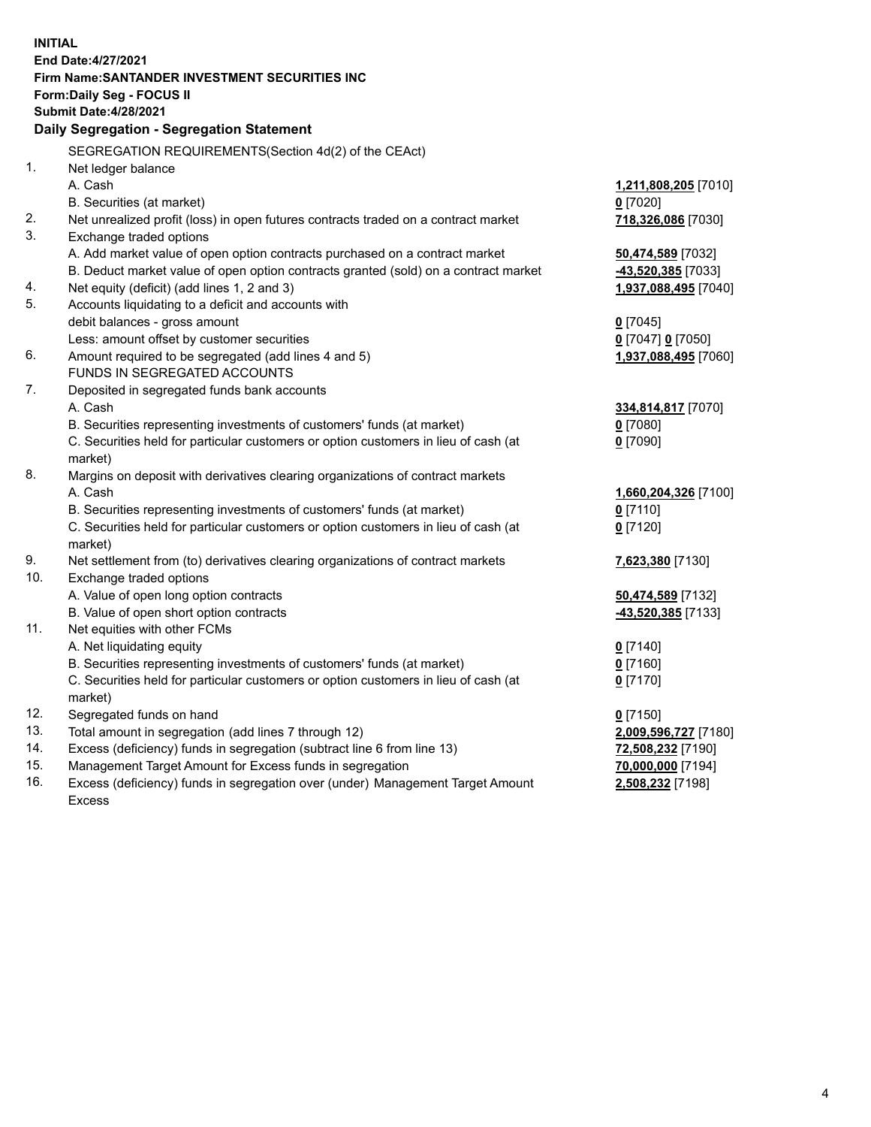| <b>INITIAL</b> |                                                                                     |                      |
|----------------|-------------------------------------------------------------------------------------|----------------------|
|                | End Date: 4/27/2021                                                                 |                      |
|                | Firm Name: SANTANDER INVESTMENT SECURITIES INC                                      |                      |
|                | Form: Daily Seg - FOCUS II                                                          |                      |
|                | <b>Submit Date: 4/28/2021</b>                                                       |                      |
|                | Daily Segregation - Segregation Statement                                           |                      |
|                | SEGREGATION REQUIREMENTS(Section 4d(2) of the CEAct)                                |                      |
| 1.             | Net ledger balance                                                                  |                      |
|                | A. Cash                                                                             | 1,211,808,205 [7010] |
|                | B. Securities (at market)                                                           | $0$ [7020]           |
| 2.             | Net unrealized profit (loss) in open futures contracts traded on a contract market  | 718,326,086 [7030]   |
| 3.             | Exchange traded options                                                             |                      |
|                | A. Add market value of open option contracts purchased on a contract market         | 50,474,589 [7032]    |
|                | B. Deduct market value of open option contracts granted (sold) on a contract market | 43,520,385 [7033]    |
| 4.             | Net equity (deficit) (add lines 1, 2 and 3)                                         | 1,937,088,495 [7040] |
| 5.             | Accounts liquidating to a deficit and accounts with                                 |                      |
|                | debit balances - gross amount                                                       | $0$ [7045]           |
|                | Less: amount offset by customer securities                                          | 0 [7047] 0 [7050]    |
| 6.             | Amount required to be segregated (add lines 4 and 5)                                | 1,937,088,495 [7060] |
|                | FUNDS IN SEGREGATED ACCOUNTS                                                        |                      |
| 7.             | Deposited in segregated funds bank accounts                                         |                      |
|                | A. Cash                                                                             | 334,814,817 [7070]   |
|                | B. Securities representing investments of customers' funds (at market)              | $0$ [7080]           |
|                | C. Securities held for particular customers or option customers in lieu of cash (at | $0$ [7090]           |
|                | market)                                                                             |                      |
| 8.             | Margins on deposit with derivatives clearing organizations of contract markets      |                      |
|                | A. Cash                                                                             | 1,660,204,326 [7100] |
|                | B. Securities representing investments of customers' funds (at market)              | $0$ [7110]           |
|                | C. Securities held for particular customers or option customers in lieu of cash (at | $0$ [7120]           |
|                | market)                                                                             |                      |
| 9.             | Net settlement from (to) derivatives clearing organizations of contract markets     | 7,623,380 [7130]     |
| 10.            | Exchange traded options                                                             |                      |
|                | A. Value of open long option contracts                                              | 50,474,589 [7132]    |
|                | B. Value of open short option contracts                                             | -43,520,385 [7133]   |
| 11.            | Net equities with other FCMs                                                        |                      |
|                | A. Net liquidating equity                                                           | $0$ [7140]           |
|                | B. Securities representing investments of customers' funds (at market)              | $0$ [7160]           |
|                | C. Securities held for particular customers or option customers in lieu of cash (at | $0$ [7170]           |
|                | market)                                                                             |                      |
| 12.            | Segregated funds on hand                                                            | $0$ [7150]           |
| 13.            | Total amount in segregation (add lines 7 through 12)                                | 2,009,596,727 [7180] |
| 14.            | Excess (deficiency) funds in segregation (subtract line 6 from line 13)             | 72,508,232 [7190]    |
| 15.            | Management Target Amount for Excess funds in segregation                            | 70,000,000 [7194]    |
| 16.            | Excess (deficiency) funds in segregation over (under) Management Target Amount      | 2,508,232 [7198]     |
|                | <b>Excess</b>                                                                       |                      |